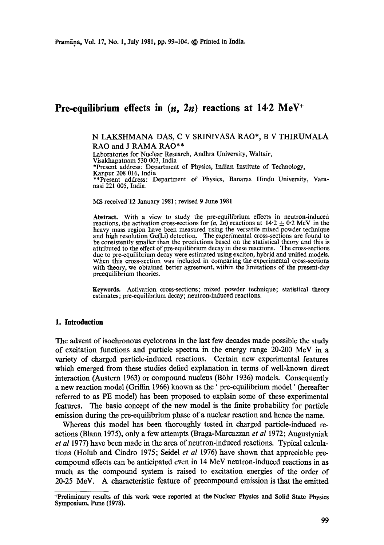# **Pre-equilibrium effects in**  $(n, 2n)$  **reactions at 14.2 MeV<sup>+</sup>**

## N LAKSHMANA DAS, C V SRINIVASA RAO\*, B V THIRUMALA RAO and J RAMA RAO\*\*

Laboratories for Nuclear Research, Andhra University, Waltair, Visakhapatnam 530 003, India \*Present address: Department of Physics, Indian Institute of Technology, Kanpur 208 016, India \*\*Present address: Department of Physics, Banaras Hindu University, Varanasi 221 005, India.

MS received 12 January 1981 ; revised 9 June 1981

**Abstract.** With a view to study the pre-equilibrium effects in neutron-induced reactions, the activation cross-sections for  $(n, 2n)$  reactions at  $14.2 \pm 0.2$  MeV in the heavy mass region have been measured using the versatile mixed powder technique and high resolution Ge(Li) detection. The experimental cross-sections are found to be consistently smaller than the predictions based on the statistical theory and this is attributed to the effect of pre-equilibrium decay in these reactions. The cross-sections due to pre-equilibrium decay were estimated using exciton, hybrid and unified models. When this cross-section was included in comparing the experimental cross-sections with theory, we obtained better agreement, within the limitations of the present-day preequilibrium theories.

Keywords. Activation cross-sections; mixed powder technique; statistical theory estimates; pre-equilibrium decay; neutron-induced reactions.

## **1. Introduction**

The advent of isochronous cyclotrons in the last few decades made possible the study of excitation functions and particle spectra in the energy range 20-200 MeV in a variety of charged particle-induced reactions. Certain new experimental features which emerged from these studies defied explanation in terms of well-known direct interaction (Austern 1963) or compound nucleus (Böhr 1936) models. Consequently a new reaction model (Griffin 1966) known as the' pre-equilibrium model' (hereafter referred to as PE model) has been proposed to explain some of these experimental features. The basic concept of the new model is the finite probability for particle emission during the pre-equilibrium phase of a nuclear reaction and hence the name.

Whereas this model has been thoroughly tested in charged particle-induced reactions (Blann 1975), only a few attempts (Braga-Marcazzan *et al* 1972; Augustyniak *et al* 1977) have been made in the area of neutron-induced reactions. Typical calculations (Holub and Cindro 1975; Seidel *et al* 1976) have shown that appreciable precompound effects can be anticipated even in 14 MeV neutron-induced reactions in as much as the compound system is raised to excitation energies of the order of 20-25 MeV. A characteristic feature of precompound emission is that the emitted

<sup>\*</sup>Preliminary results of this **work were reported at the** Nuclear Physics **and Solid State** Physics Symposium, Pune (1978).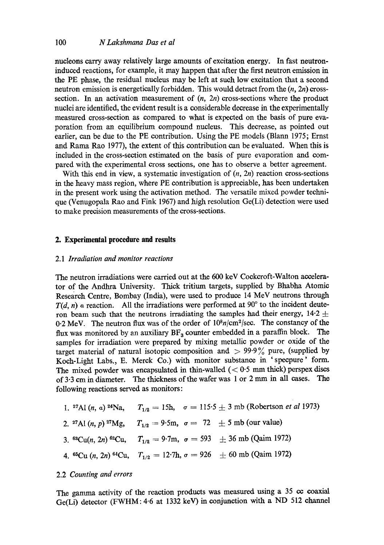nucleons carry away relatively large amounts of excitation energy. In fast neutroninduced reactions, for example, it may happen that after the first neutron emission in the PE phase, the residual nucleus may be left at such low excitation that a second neutron emission is energetically forbidden. This would detract from the  $(n, 2n)$  crosssection. In an activation measurement of  $(n, 2n)$  cross-sections where the product nuclei are identified, the evident result is a considerable decrease in the experimentally measured cross-section as compared to what is expected on the basis of pure evaporation from an equilibrium compound nucleus. This decrease, as pointed out earlier, can be due to the PE contribution. Using the PE models (Blann 1975; Ernst and Rama Rao 1977), the extent of this contribution can be evaluated. When this is included in the cross-section estimated on the basis of pure evaporation and compared with the experimental cross sections, one has to observe a better agreement.

With this end in view, a systematic investigation of  $(n, 2n)$  reaction cross-sections in the heavy mass region, where PE contribution is appreciable, has been undertaken in the present work using the activation method. The versatile mixed powder technique (Venugopala Rao and Fink 1967) and high resolution Ge(Li) detection were used to make precision measurements of the cross-sections.

#### **2. Experimental procedure and results**

#### *2.1 Irradiation and monitor reactions*

The neutron irradiations were carried out at the 600 keV Coekcroft-Walton accelerator of the Andhra University. Thick tritium targets, supplied by Bhabha Atomic Research Centre, Bombay (India), were used to produce 14 MeV neutrons through  $T(d, n)$  a reaction. All the irradiations were performed at 90 $^{\circ}$  to the incident deuteron beam such that the neutrons irradiating the samples had their energy,  $14.2 \pm$ 0.2 MeV. The neutron flux was of the order of *108n/cm2/sec.* The constancy of the flux was monitored by an auxiliary  $BF_3$  counter embedded in a paraffin block. The samples for irradiation were prepared by mixing metallic powder or oxide of the target material of natural isotopic composition and  $> 99.9\%$  pure, (supplied by Koch-Light Labs., E. Merck Co.) with monitor substance in 'speepure' form. The mixed powder was encapsulated in thin-walled  $(< 0.5$  mm thick) perspex discs of 3.3 em in diameter. The thickness of the wafer was 1 or 2 mm in all eases. The following reactions served as monitors:

|                                                                                                                                | 1. <sup>27</sup> Al ( <i>n</i> , <i>a</i> ) <sup>24</sup> Na, $T_{1/2} = 15h$ , $\sigma = 115.5 \pm 3$ mb (Robertson <i>et al</i> 1973) |
|--------------------------------------------------------------------------------------------------------------------------------|-----------------------------------------------------------------------------------------------------------------------------------------|
| 2. <sup>27</sup> Al $(n, p)$ <sup>27</sup> Mg, $T_{1/2} = 9.5$ m, $\sigma = 72 \pm 5$ mb (our value)                           |                                                                                                                                         |
| 3. ${}^{63}Cu(n, 2n) {}^{62}Cu$ , $T_{1/2} = 9.7m$ , $\sigma = 593 \pm 36 mb$ (Qaim 1972)                                      |                                                                                                                                         |
| 4. <sup>65</sup> Cu ( <i>n</i> , 2 <i>n</i> ) <sup>64</sup> Cu, $T_{1/2} = 12 \cdot 7h$ , $\sigma = 926 \pm 60$ mb (Qaim 1972) |                                                                                                                                         |

#### 2.2 *Counting and errors*

The gamma activity of the reaction products was measured using a 35 cc coaxial Ge(Li) detector (FWHM: 4.6 at 1332 keV) in conjunction with a ND 512 channel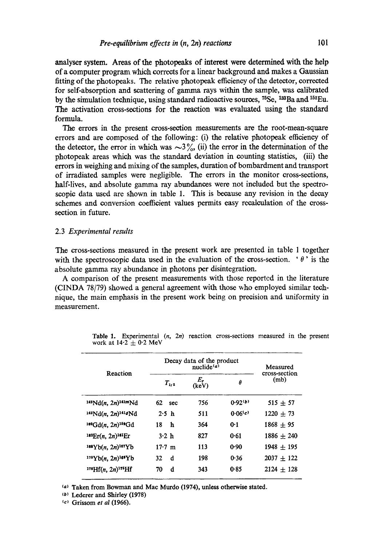analyser system. Areas of the photopeaks of interest were determined with the help of a computer program which corrects for a linear background and makes a Ganssian fitting of the photopeaks. The relative photopeak efficiency of the detector, corrected for self-absorption and scattering of gamma rays within the sample, was calibrated by the simulation technique, using standard radioactive sources,  $^{75}Se$ ,  $^{133}Ba$  and  $^{152}Eu$ . The activation cross-sections for the reaction was evaluated using the standard formula.

The errors in the present cross-section measurements are the root-mean-square errors and are composed of the following: (i) the relative photopeak efficiency of the detector, the error in which was  $\sim 3\%$ , (ii) the error in the determination of the photopeak areas which was the standard deviation in counting statistics, (iii) the errors in weighing and mixing of the samples, duration of bombardment and transport of irradiated samples were negligible. The errors in the monitor cross-sections, half-lives, and absolute gamma ray abundances were not included but the spectroscopic data used are shown in table 1. This is because any revision in the decay schemes and conversion coefficient values permits easy recalculation of the crosssection in future.

## 2.3 *Experimental results*

The cross-sections measured in the present work are presented in table 1 together with the spectroscopic data used in the evaluation of the cross-section. ' $\theta$ ' is the absolute gamma ray abundance in photons per disintegration.

A comparison of the present measurements with those reported in the literature (CINDA 78/79) showed a general agreement with those who employed similar technique, the main emphasis in the present work being on precision and uniformity in measurement.

| Reaction                                 | Decay data of the product<br>nuclide <sup>(a)</sup> |                      |         | Measured<br>cross-section |  |
|------------------------------------------|-----------------------------------------------------|----------------------|---------|---------------------------|--|
|                                          | $T_{1/2}$                                           | $E_{\bm r}$<br>(keV) | θ       | (mb)                      |  |
| $143Nd(n, 2n)$ <sup>141m</sup> Nd        | 62 sec                                              | 756                  | 0.92(b) | $515 + 57$                |  |
| $142Nd(n, 2n)^{141g}Nd$                  | 2.5 <sub>h</sub>                                    | 511                  | 0.06(c) | $1220 + 73$               |  |
| $160 \text{Gd}(n, 2n)$ <sup>159</sup> Gd | h<br>18                                             | 364                  | 0.1     | $1868 + 95$               |  |
| $162$ Er(n, 2n) <sup>161</sup> Er        | $3-2h$                                              | 827                  | 0.61    | $1886 \pm 240$            |  |
| $168Yb(n, 2n)$ <sup>167</sup> Yb         | $17.7 \; m$                                         | 113                  | 0.90    | $1948 + 195$              |  |
| $170Yb(n, 2n)$ <sup>169</sup> Yb         | d<br>32                                             | 198                  | 0.36    | $2037 + 122$              |  |
| $^{176}Hf(n, 2n)^{175}Hf$                | d<br>70                                             | 343                  | 0.85    | $2124 \pm 128$            |  |

Table 1. Experimental  $(n, 2n)$  reaction cross-sections measured in the present work at  $14.2 \pm 0.2$  MeV

<sup>(a)</sup> Taken from Bowman and Mac Murdo (1974), unless otherwise stated.

(b) Lederer and Shirley (1978)

<sup>(c)</sup> Grissom *et al* (1966).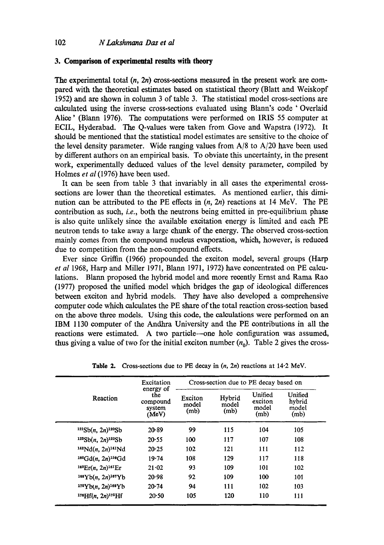#### **3. Comparison of experimental results with theory**

The experimental total  $(n, 2n)$  cross-sections measured in the present work are compared with the theoretical estimates based on statistical theory (Blatt and Weiskopf 1952) and are shown in column 3 of table 3. The statistical model cross-sections are calculated using the inverse cross-sections evaluated using Blann's code ' Overlaid Alice' (Blann 1976). The computations were performed on IRIS 55 computer at ECIL, Hyderabad. The Q-values were taken from Gove and Wapstra (1972). It should be mentioned that the statistical model estimates are sensitive to the choice of the level density parameter. Wide ranging values from A/8 to A/20 have been used by different authors on an empirical basis. To obviate this uncertainty, in the present work, experimentally deduced values of the level density parameter, compiled by Holmes *et al* (1976) have been used.

It can be seen from table 3 that invariably in all cases the experimental crosssections are lower than the theoretical estimates. As mentioned earlier, this diminution can be attributed to the PE effects in  $(n, 2n)$  reactions at 14 MeV. The PE contribution as such, *i.e.,* both the neutrons being emitted in pre-equilibrium **phase**  is also quite unlikely since the available excitation energy is limited and each PE neutron tends to take away a large chunk of the energy. The observed cross-section mainly comes from the compound nucleus evaporation, which, however, is reduced due to competition from the non-compound effects.

Ever since Griffin (1966) propounded the exeiton model, several groups (Harp *et al* 1968, Harp and Miller 1971, Blann 1971, 1972) have concentrated on PE calculations. Blaam proposed the hybrid model and more recently Ernst and Rama Rao (1977) proposed the unified model which bridges the gap of ideological differences between exciton and hybrid models. They have also developed a comprehensive computer code which calculates the PE share of the total reaction cross-section based on the above three models. Using this code, the calculations were performed on an IBM 1130 computer of the Andhra University and the PE contributions in all the reactions were estimated. A two particle--one hole configuration was assumed, thus giving a value of two for the initial exciton number  $(n_0)$ . Table 2 gives the cross-

|          |                                                 | Excitation                            | Cross-section due to PE decay based on |                                     |                                                 |     |
|----------|-------------------------------------------------|---------------------------------------|----------------------------------------|-------------------------------------|-------------------------------------------------|-----|
| Reaction | energy of<br>the<br>compound<br>system<br>(MeV) | Exciton<br>model<br>(m <sub>b</sub> ) | Hybrid<br>model<br>(m <sub>b</sub> )   | Unified<br>exciton<br>model<br>(mb) | Unified<br>hybrid<br>model<br>(m <sub>b</sub> ) |     |
|          | $121Sb(n, 2n)$ <sup>120</sup> Sb                | 20.89                                 | 99                                     | 115                                 | 104                                             | 105 |
|          | $123Sb(n, 2n)$ <sup>122</sup> Sb                | 20.55                                 | 100                                    | 117                                 | 107                                             | 108 |
|          | $142Nd(n, 2n)$ <sup>141</sup> Nd                | 20.25                                 | 102                                    | 121                                 | 111                                             | 112 |
|          | $160 \text{Gd}(n, 2n)$ <sup>159</sup> Gd        | 19.74                                 | 108                                    | 129                                 | 117                                             | 118 |
|          | $162$ Er(n, 2n) <sup>161</sup> Er               | 21.02                                 | 93                                     | 109                                 | 101                                             | 102 |
|          | $188Yb(n, 2n)$ <sup>187</sup> Yb                | 20.98                                 | 92                                     | 109                                 | 100                                             | 101 |
|          | $170Yb(n, 2n)$ <sup>169</sup> Yb                | 20.74                                 | 94                                     | 111                                 | 102                                             | 103 |
|          | $176Hf(n, 2n)$ <sup>175</sup> Hf                | 20.50                                 | 105                                    | 120                                 | 110                                             | 111 |

**Table 2. Cross-sections** due to PE decay in (n, 2n) reactions at 14-2 MeV.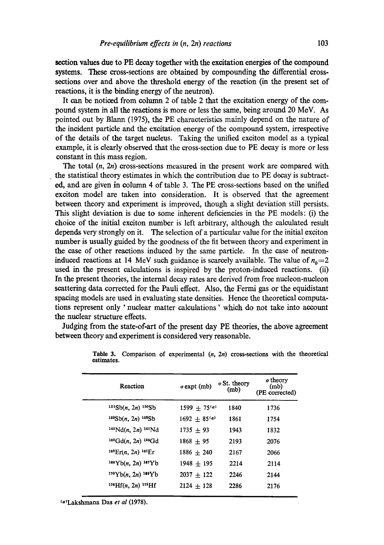section values due to PE decay together with the excitation energies of the compound systems. These cross-sections are obtained by compounding the differential crosssections over and above the threshola energy of the reaction (in the present set of reactions, it is the binding energy of the neutron).

It can be noticed from column 2 of table 2 that the excitation energy of the compound system in all the reactions is more or less the same, being around 20 MeV. As pointed out by Blann (I975), the PE characteristics mainly depend on the nature of the incident particle and the excitation energy of the compound system, irrespective of the details of the target nucleus. Taking the unified exciton model as a typical example, it is dearly observed that the cross-section due to PE decay is more or less constant in this mass region.

The total  $(n, 2n)$  cross-sections measured in the present work are compared with the statistical theory estimates in which the contribution due to PE decay is subtracted, and are given in column 4 of table 3. The PE cross-sections based on the unified exciton model are taken into consideration. It is observed that the agreement between theory and experiment is improved, though a slight deviation still persists. This slight deviation is due to some inherent deficiencies in the PE models: (i) the choice of the initial exciton number is left arbitrary, although the calculated result depends very strongly on it. The selection of a particular value for the initial exciton number is usually guided by the goodness of the fit between theory and experiment in the case of other reactions induced by the same particle. In the case of neutroninduced reactions at 14 MeV such guidance is scarcely available. The value of  $n_0=2$ used in the present calculations is inspired by the proton-induced reactions. (ii) In the present theories, the internal decay rates are derived from free nucleon-nucleon scattering data corrected for the Pauli effect. Also, the Fermi gas or the equidistant spacing models are used in evaluating state densities. Hence the theoretical computations represent only ' nuclear matter calculations' which do not take into account the nuclear structure effects.

Judging from the state-of-art of the present day PE theories, the above agreement between theory and experiment is considered very reasonable.

| Reaction                                     | $\sigma$ expt (mb) | $\sigma$ St. theory<br>(m <sub>b</sub> ) | $\sigma$ theory<br>(m <sub>b</sub> )<br>(PE corrected) |
|----------------------------------------------|--------------------|------------------------------------------|--------------------------------------------------------|
| $121Sb(n, 2n)$ $120Sb$                       | $1599 + 75^{(a)}$  | 1840                                     | 1736                                                   |
| $1235(n, 2n)$ $1225b$                        | $1692 + 85^{(a)}$  | 1861                                     | 1754                                                   |
| $142Nd(n, 2n)$ $141Nd$                       | $1735 + 93$        | 1943                                     | 1832                                                   |
| $^{160}Gd(n, 2n)$ $^{159}Gd$                 | $1868 + 95$        | 2193                                     | 2076                                                   |
| $16^2$ Er( <i>n</i> , 2 <i>n</i> ) $16^1$ Er | $1886 + 240$       | 2167                                     | 2066                                                   |
| $168Yb(n, 2n)$ $167Yb$                       | $1948 + 195$       | 2214                                     | 2114                                                   |
| $170Yb(n, 2n)$ $169Yb$                       | $2037 \pm 122$     | 2246                                     | 2144                                                   |
| $176Hf(n, 2n)$ $175Hf$                       | $2124 + 128$       | 2286                                     | 2176                                                   |
|                                              |                    |                                          |                                                        |

Table 3. Comparison of experimental  $(n, 2n)$  cross-sections with the theoretical estimates.

~a~Lakshmana Das *et al* (1978).